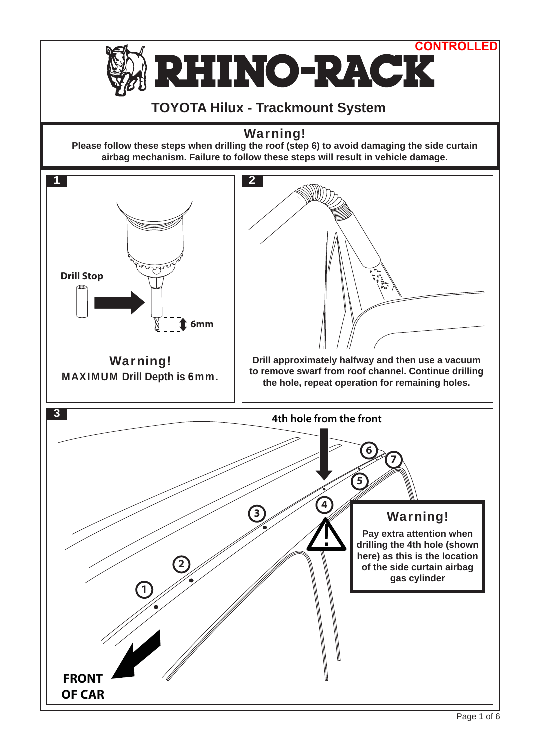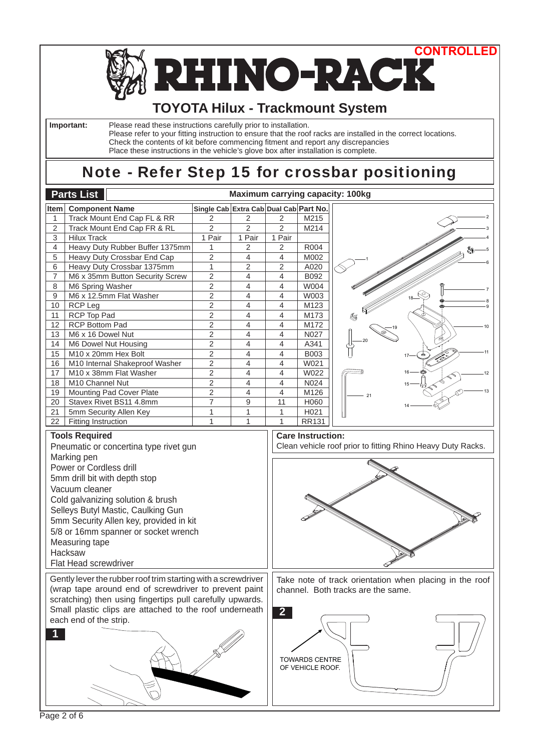

**HINO-RACK** N

# **TOYOTA Hilux - Trackmount System**

 **Important:** Please read these instructions carefully prior to installation.

Please refer to your fitting instruction to ensure that the roof racks are installed in the correct locations. Check the contents of kit before commencing fitment and report any discrepancies Place these instructions in the vehicle's glove box after installation is complete.

# Note - Refer Step 15 for crossbar positioning

|                                                                                                                                                                                                                                                                                                                                                         | <b>Parts List</b>               |                                        |                          |                | <b>Maximum carrying capacity: 100kg</b>   |                                                                                               |
|---------------------------------------------------------------------------------------------------------------------------------------------------------------------------------------------------------------------------------------------------------------------------------------------------------------------------------------------------------|---------------------------------|----------------------------------------|--------------------------|----------------|-------------------------------------------|-----------------------------------------------------------------------------------------------|
| Item                                                                                                                                                                                                                                                                                                                                                    | <b>Component Name</b>           | Single Cab Extra Cab Dual Cab Part No. |                          |                |                                           |                                                                                               |
| 1                                                                                                                                                                                                                                                                                                                                                       | Track Mount End Cap FL & RR     | 2                                      | 2                        | 2              | M215                                      |                                                                                               |
| 2                                                                                                                                                                                                                                                                                                                                                       | Track Mount End Cap FR & RL     | $\overline{2}$                         | $\overline{2}$           | $\overline{2}$ | M214                                      |                                                                                               |
| 3                                                                                                                                                                                                                                                                                                                                                       | <b>Hilux Track</b>              | 1 Pair                                 | 1 Pair                   | 1 Pair         |                                           |                                                                                               |
| 4                                                                                                                                                                                                                                                                                                                                                       | Heavy Duty Rubber Buffer 1375mm | 1                                      | 2                        | $\overline{c}$ | R004                                      |                                                                                               |
| 5                                                                                                                                                                                                                                                                                                                                                       | Heavy Duty Crossbar End Cap     | $\overline{c}$                         | 4                        | $\overline{4}$ | M002                                      |                                                                                               |
| 6                                                                                                                                                                                                                                                                                                                                                       | Heavy Duty Crossbar 1375mm      | $\mathbf{1}$                           | $\overline{2}$           | $\overline{2}$ | A020                                      |                                                                                               |
| $\overline{7}$                                                                                                                                                                                                                                                                                                                                          | M6 x 35mm Button Security Screw | $\overline{c}$                         | 4                        | $\overline{4}$ | B092                                      |                                                                                               |
| 8                                                                                                                                                                                                                                                                                                                                                       | M6 Spring Washer                | $\overline{c}$                         | 4                        | $\overline{4}$ | W004                                      |                                                                                               |
| 9                                                                                                                                                                                                                                                                                                                                                       | M6 x 12.5mm Flat Washer         | $\overline{c}$                         | 4                        | $\overline{4}$ | W003                                      |                                                                                               |
| 10                                                                                                                                                                                                                                                                                                                                                      | <b>RCP Leg</b>                  | $\overline{2}$                         | 4                        | 4              | M123                                      |                                                                                               |
| 11                                                                                                                                                                                                                                                                                                                                                      | RCP Top Pad                     | 2                                      | 4                        | 4              | M173                                      |                                                                                               |
| 12                                                                                                                                                                                                                                                                                                                                                      | <b>RCP Bottom Pad</b>           | $\overline{c}$                         | 4                        | 4              | M172                                      |                                                                                               |
| 13                                                                                                                                                                                                                                                                                                                                                      | M6 x 16 Dowel Nut               | $\overline{c}$                         | 4                        | $\overline{4}$ | N027                                      |                                                                                               |
| 14                                                                                                                                                                                                                                                                                                                                                      | M6 Dowel Nut Housing            | $\overline{c}$                         | 4                        | $\overline{4}$ | A341                                      |                                                                                               |
| 15                                                                                                                                                                                                                                                                                                                                                      | M10 x 20mm Hex Bolt             | $\overline{2}$                         | 4                        | $\overline{4}$ | B003                                      |                                                                                               |
| 16                                                                                                                                                                                                                                                                                                                                                      | M10 Internal Shakeproof Washer  | $\overline{c}$                         | $\overline{\mathcal{L}}$ | $\overline{4}$ | W021                                      |                                                                                               |
| 17                                                                                                                                                                                                                                                                                                                                                      | M10 x 38mm Flat Washer          | $\overline{c}$                         | 4                        | $\overline{4}$ | W022                                      |                                                                                               |
| 18                                                                                                                                                                                                                                                                                                                                                      | M10 Channel Nut                 | $\overline{c}$                         | 4                        | $\overline{4}$ | N024                                      |                                                                                               |
| 19                                                                                                                                                                                                                                                                                                                                                      | Mounting Pad Cover Plate        | $\overline{2}$                         | 4                        | $\overline{4}$ | M126                                      |                                                                                               |
| 20                                                                                                                                                                                                                                                                                                                                                      | Stavex Rivet BS11 4.8mm         | $\overline{7}$                         | 9                        | 11             | H060                                      |                                                                                               |
| 21                                                                                                                                                                                                                                                                                                                                                      | 5mm Security Allen Key          | 1                                      | $\mathbf{1}$             | 1              | H021                                      |                                                                                               |
| 22                                                                                                                                                                                                                                                                                                                                                      | <b>Fitting Instruction</b>      | 1                                      | $\mathbf{1}$             | $\mathbf{1}$   | <b>RR131</b>                              |                                                                                               |
| Pneumatic or concertina type rivet gun<br>Marking pen<br>Power or Cordless drill<br>5mm drill bit with depth stop<br>Vacuum cleaner<br>Cold galvanizing solution & brush<br>Selleys Butyl Mastic, Caulking Gun<br>5mm Security Allen key, provided in kit<br>5/8 or 16mm spanner or socket wrench<br>Measuring tape<br>Hacksaw<br>Flat Head screwdriver |                                 |                                        |                          |                |                                           |                                                                                               |
| Gently lever the rubber roof trim starting with a screwdriver<br>(wrap tape around end of screwdriver to prevent paint<br>scratching) then using fingertips pull carefully upwards.<br>Small plastic clips are attached to the roof underneath<br>each end of the strip.                                                                                |                                 |                                        |                          |                | <b>TOWARDS CENTRE</b><br>OF VEHICLE ROOF. | Take note of track orientation when placing in the roof<br>channel. Both tracks are the same. |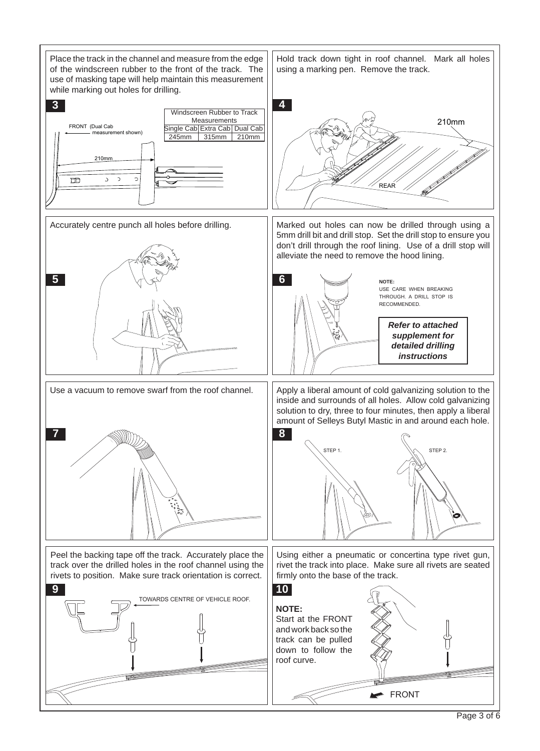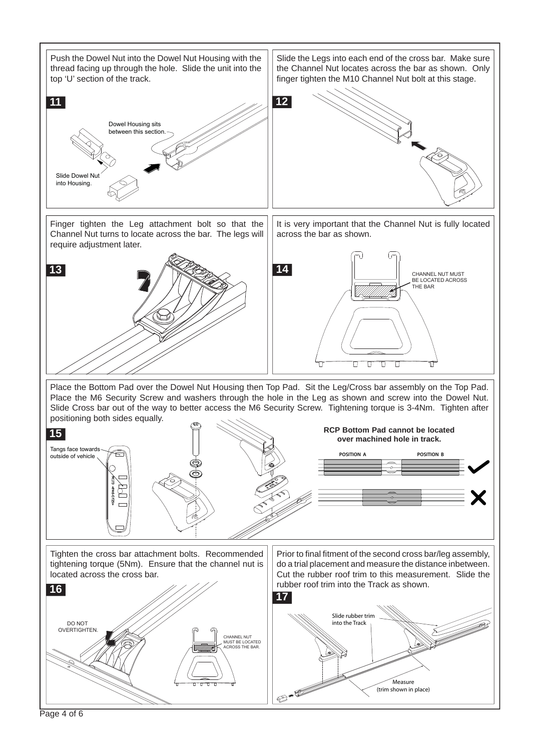

Page 4 of 6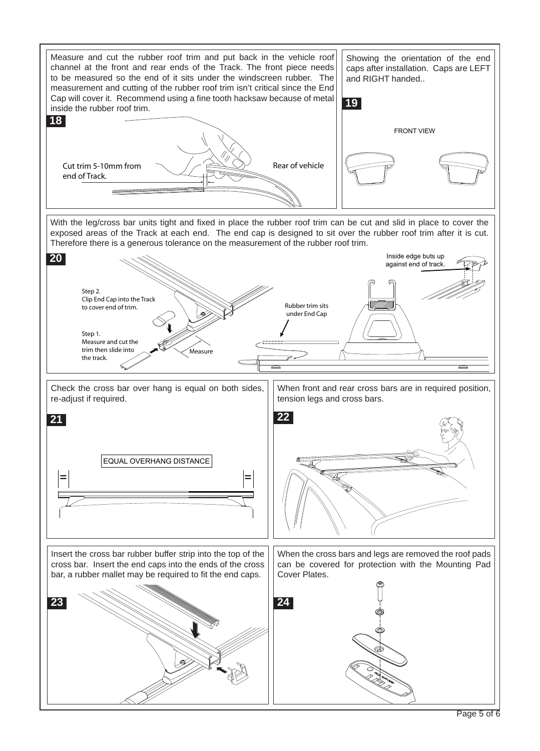